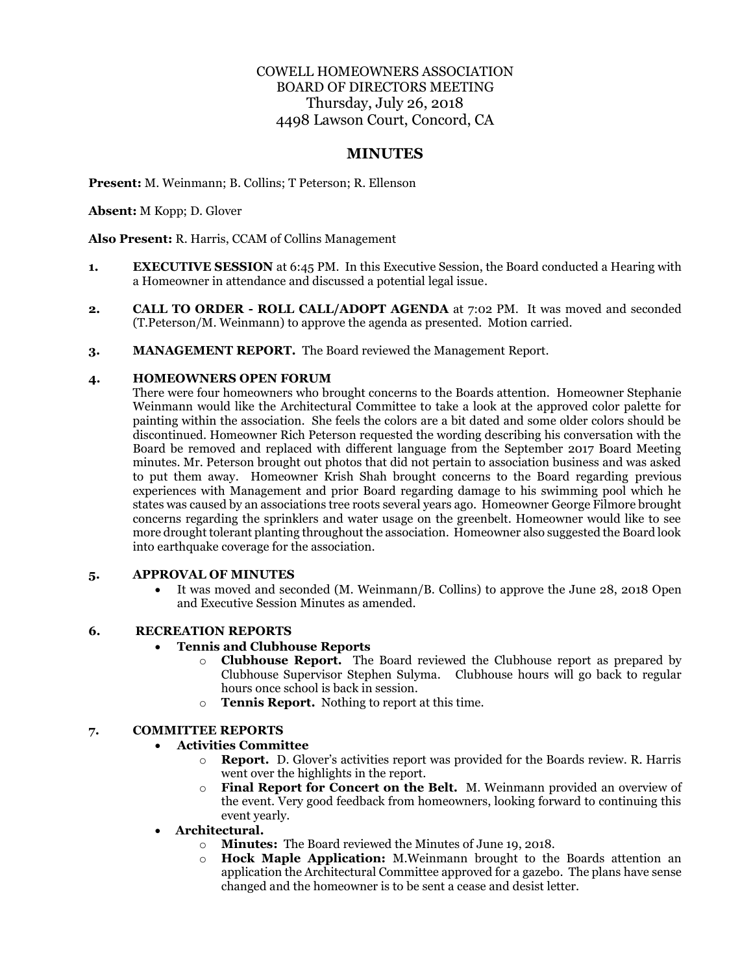# COWELL HOMEOWNERS ASSOCIATION BOARD OF DIRECTORS MEETING Thursday, July 26, 2018 4498 Lawson Court, Concord, CA

# **MINUTES**

**Present:** M. Weinmann; B. Collins; T Peterson; R. Ellenson

**Absent:** M Kopp; D. Glover

**Also Present:** R. Harris, CCAM of Collins Management

- **1. EXECUTIVE SESSION** at 6:45 PM. In this Executive Session, the Board conducted a Hearing with a Homeowner in attendance and discussed a potential legal issue.
- **2. CALL TO ORDER - ROLL CALL/ADOPT AGENDA** at 7:02 PM. It was moved and seconded (T.Peterson/M. Weinmann) to approve the agenda as presented. Motion carried.
- **3. MANAGEMENT REPORT.** The Board reviewed the Management Report.

## **4. HOMEOWNERS OPEN FORUM**

There were four homeowners who brought concerns to the Boards attention. Homeowner Stephanie Weinmann would like the Architectural Committee to take a look at the approved color palette for painting within the association. She feels the colors are a bit dated and some older colors should be discontinued. Homeowner Rich Peterson requested the wording describing his conversation with the Board be removed and replaced with different language from the September 2017 Board Meeting minutes. Mr. Peterson brought out photos that did not pertain to association business and was asked to put them away. Homeowner Krish Shah brought concerns to the Board regarding previous experiences with Management and prior Board regarding damage to his swimming pool which he states was caused by an associations tree roots several years ago. Homeowner George Filmore brought concerns regarding the sprinklers and water usage on the greenbelt. Homeowner would like to see more drought tolerant planting throughout the association. Homeowner also suggested the Board look into earthquake coverage for the association.

#### **5. APPROVAL OF MINUTES**

• It was moved and seconded (M. Weinmann/B. Collins) to approve the June 28, 2018 Open and Executive Session Minutes as amended.

#### **6. RECREATION REPORTS**

#### • **Tennis and Clubhouse Reports**

- o **Clubhouse Report.** The Board reviewed the Clubhouse report as prepared by Clubhouse Supervisor Stephen Sulyma. Clubhouse hours will go back to regular hours once school is back in session.
- o **Tennis Report.** Nothing to report at this time.

# **7. COMMITTEE REPORTS**

- **Activities Committee** 
	- o **Report.** D. Glover's activities report was provided for the Boards review. R. Harris went over the highlights in the report.
	- o **Final Report for Concert on the Belt.** M. Weinmann provided an overview of the event. Very good feedback from homeowners, looking forward to continuing this event yearly.
- **Architectural.** 
	- o **Minutes:** The Board reviewed the Minutes of June 19, 2018.
	- o **Hock Maple Application:** M.Weinmann brought to the Boards attention an application the Architectural Committee approved for a gazebo. The plans have sense changed and the homeowner is to be sent a cease and desist letter.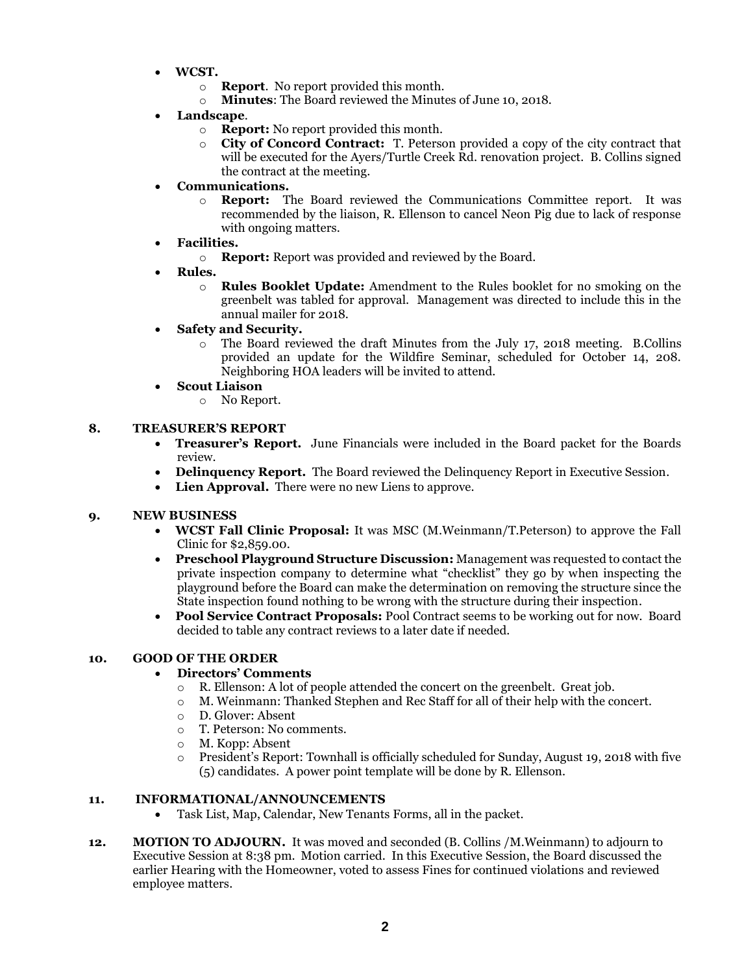- **WCST.** 
	- o **Report**. No report provided this month.
	- o **Minutes**: The Board reviewed the Minutes of June 10, 2018.
- **Landscape**.
	- o **Report:** No report provided this month.
	- o **City of Concord Contract:** T. Peterson provided a copy of the city contract that will be executed for the Ayers/Turtle Creek Rd. renovation project. B. Collins signed the contract at the meeting.
- **Communications.** 
	- o **Report:** The Board reviewed the Communications Committee report. It was recommended by the liaison, R. Ellenson to cancel Neon Pig due to lack of response with ongoing matters.
- **Facilities.** 
	- o **Report:** Report was provided and reviewed by the Board.
- **Rules.** 
	- o **Rules Booklet Update:** Amendment to the Rules booklet for no smoking on the greenbelt was tabled for approval. Management was directed to include this in the annual mailer for 2018.
- **Safety and Security.**
	- o The Board reviewed the draft Minutes from the July 17, 2018 meeting. B.Collins provided an update for the Wildfire Seminar, scheduled for October 14, 208. Neighboring HOA leaders will be invited to attend.
- **Scout Liaison**
	- o No Report.

#### **8. TREASURER'S REPORT**

- **Treasurer's Report.** June Financials were included in the Board packet for the Boards review.
- **Delinquency Report.** The Board reviewed the Delinquency Report in Executive Session.
- **Lien Approval.** There were no new Liens to approve.

#### **9. NEW BUSINESS**

- **WCST Fall Clinic Proposal:** It was MSC (M.Weinmann/T.Peterson) to approve the Fall Clinic for \$2,859.00.
- **Preschool Playground Structure Discussion:** Management was requested to contact the private inspection company to determine what "checklist" they go by when inspecting the playground before the Board can make the determination on removing the structure since the State inspection found nothing to be wrong with the structure during their inspection.
- **Pool Service Contract Proposals:** Pool Contract seems to be working out for now. Board decided to table any contract reviews to a later date if needed.

## **10. GOOD OF THE ORDER**

#### • **Directors' Comments**

- $\circ$  R. Ellenson: A lot of people attended the concert on the greenbelt. Great job.
- o M. Weinmann: Thanked Stephen and Rec Staff for all of their help with the concert.
- o D. Glover: Absent
- o T. Peterson: No comments.
- o M. Kopp: Absent
- o President's Report: Townhall is officially scheduled for Sunday, August 19, 2018 with five (5) candidates. A power point template will be done by R. Ellenson.

## **11. INFORMATIONAL/ANNOUNCEMENTS**

- Task List, Map, Calendar, New Tenants Forms, all in the packet.
- **12. MOTION TO ADJOURN.** It was moved and seconded (B. Collins /M.Weinmann) to adjourn to Executive Session at 8:38 pm. Motion carried. In this Executive Session, the Board discussed the earlier Hearing with the Homeowner, voted to assess Fines for continued violations and reviewed employee matters.